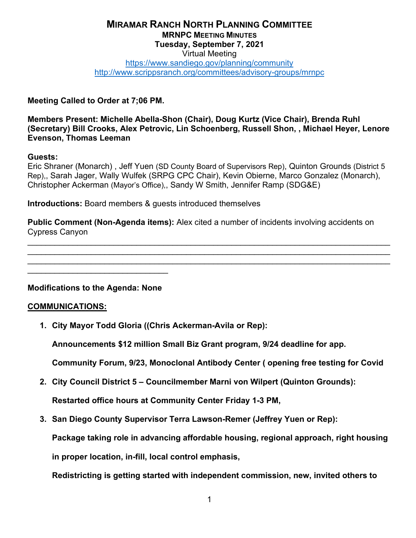#### **MIRAMAR RANCH NORTH PLANNING COMMITTEE MRNPC MEETING MINUTES Tuesday, September 7, 2021** Virtual Meeting <https://www.sandiego.gov/planning/community> <http://www.scrippsranch.org/committees/advisory-groups/mrnpc>

**Meeting Called to Order at 7;06 PM.**

**Members Present: Michelle Abella-Shon (Chair), Doug Kurtz (Vice Chair), Brenda Ruhl (Secretary) Bill Crooks, Alex Petrovic, Lin Schoenberg, Russell Shon, , Michael Heyer, Lenore Evenson, Thomas Leeman**

#### **Guests:**

Eric Shraner (Monarch) , Jeff Yuen (SD County Board of Supervisors Rep), Quinton Grounds (District 5 Rep),, Sarah Jager, Wally Wulfek (SRPG CPC Chair), Kevin Obierne, Marco Gonzalez (Monarch), Christopher Ackerman (Mayor's Office),, Sandy W Smith, Jennifer Ramp (SDG&E)

**Introductions:** Board members & guests introduced themselves

**Public Comment (Non-Agenda items):** Alex cited a number of incidents involving accidents on Cypress Canyon

\_\_\_\_\_\_\_\_\_\_\_\_\_\_\_\_\_\_\_\_\_\_\_\_\_\_\_\_\_\_\_\_\_\_\_\_\_\_\_\_\_\_\_\_\_\_\_\_\_\_\_\_\_\_\_\_\_\_\_\_\_\_\_\_\_\_\_\_\_\_\_\_\_\_\_\_\_\_\_\_ \_\_\_\_\_\_\_\_\_\_\_\_\_\_\_\_\_\_\_\_\_\_\_\_\_\_\_\_\_\_\_\_\_\_\_\_\_\_\_\_\_\_\_\_\_\_\_\_\_\_\_\_\_\_\_\_\_\_\_\_\_\_\_\_\_\_\_\_\_\_\_\_\_\_\_\_\_\_\_\_ \_\_\_\_\_\_\_\_\_\_\_\_\_\_\_\_\_\_\_\_\_\_\_\_\_\_\_\_\_\_\_\_\_\_\_\_\_\_\_\_\_\_\_\_\_\_\_\_\_\_\_\_\_\_\_\_\_\_\_\_\_\_\_\_\_\_\_\_\_\_\_\_\_\_\_\_\_\_\_\_

**Modifications to the Agenda: None**

\_\_\_\_\_\_\_\_\_\_\_\_\_\_\_\_\_\_\_\_\_\_\_\_\_\_\_\_\_\_\_

#### **COMMUNICATIONS:**

**1. City Mayor Todd Gloria ((Chris Ackerman-Avila or Rep):**

**Announcements \$12 million Small Biz Grant program, 9/24 deadline for app.** 

**Community Forum, 9/23, Monoclonal Antibody Center ( opening free testing for Covid**

**2. City Council District 5 – Councilmember Marni von Wilpert (Quinton Grounds):**

**Restarted office hours at Community Center Friday 1-3 PM,** 

**3. San Diego County Supervisor Terra Lawson-Remer (Jeffrey Yuen or Rep):**

**Package taking role in advancing affordable housing, regional approach, right housing** 

**in proper location, in-fill, local control emphasis,** 

**Redistricting is getting started with independent commission, new, invited others to**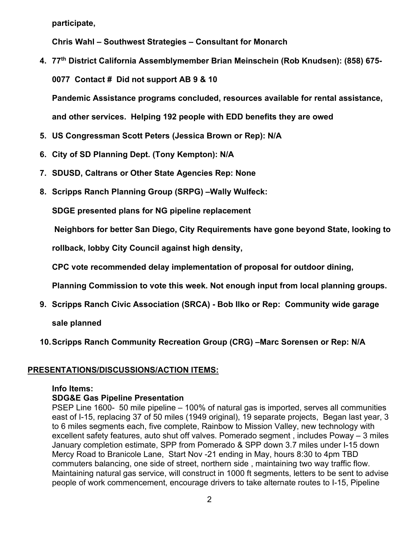**participate,** 

**Chris Wahl – Southwest Strategies – Consultant for Monarch**

**4. 77th District California Assemblymember Brian Meinschein (Rob Knudsen): (858) 675- 0077 Contact # Did not support AB 9 & 10** 

**Pandemic Assistance programs concluded, resources available for rental assistance,** 

**and other services. Helping 192 people with EDD benefits they are owed**

- **5. US Congressman Scott Peters (Jessica Brown or Rep): N/A**
- **6. City of SD Planning Dept. (Tony Kempton): N/A**
- **7. SDUSD, Caltrans or Other State Agencies Rep: None**
- **8. Scripps Ranch Planning Group (SRPG) –Wally Wulfeck:**

**SDGE presented plans for NG pipeline replacement**

**Neighbors for better San Diego, City Requirements have gone beyond State, looking to** 

**rollback, lobby City Council against high density,** 

**CPC vote recommended delay implementation of proposal for outdoor dining,** 

**Planning Commission to vote this week. Not enough input from local planning groups.**

**9. Scripps Ranch Civic Association (SRCA) - Bob Ilko or Rep: Community wide garage** 

**sale planned**

**10.Scripps Ranch Community Recreation Group (CRG) –Marc Sorensen or Rep: N/A**

## **PRESENTATIONS/DISCUSSIONS/ACTION ITEMS:**

#### **Info Items:**

## **SDG&E Gas Pipeline Presentation**

PSEP Line 1600- 50 mile pipeline – 100% of natural gas is imported, serves all communities east of I-15, replacing 37 of 50 miles (1949 original), 19 separate projects, Began last year, 3 to 6 miles segments each, five complete, Rainbow to Mission Valley, new technology with excellent safety features, auto shut off valves. Pomerado segment , includes Poway – 3 miles January completion estimate, SPP from Pomerado & SPP down 3.7 miles under I-15 down Mercy Road to Branicole Lane, Start Nov -21 ending in May, hours 8:30 to 4pm TBD commuters balancing, one side of street, northern side , maintaining two way traffic flow. Maintaining natural gas service, will construct in 1000 ft segments, letters to be sent to advise people of work commencement, encourage drivers to take alternate routes to I-15, Pipeline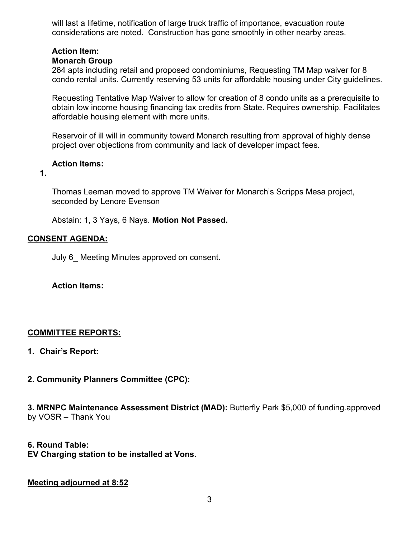will last a lifetime, notification of large truck traffic of importance, evacuation route considerations are noted. Construction has gone smoothly in other nearby areas.

## **Action Item:**

## **Monarch Group**

264 apts including retail and proposed condominiums, Requesting TM Map waiver for 8 condo rental units. Currently reserving 53 units for affordable housing under City guidelines.

Requesting Tentative Map Waiver to allow for creation of 8 condo units as a prerequisite to obtain low income housing financing tax credits from State. Requires ownership. Facilitates affordable housing element with more units.

Reservoir of ill will in community toward Monarch resulting from approval of highly dense project over objections from community and lack of developer impact fees.

### **Action Items:**

**1.**

Thomas Leeman moved to approve TM Waiver for Monarch's Scripps Mesa project, seconded by Lenore Evenson

Abstain: 1, 3 Yays, 6 Nays. **Motion Not Passed.**

## **CONSENT AGENDA:**

July 6 Meeting Minutes approved on consent.

#### **Action Items:**

## **COMMITTEE REPORTS:**

- **1. Chair's Report:**
- **2. Community Planners Committee (CPC):**

**3. MRNPC Maintenance Assessment District (MAD):** Butterfly Park \$5,000 of funding.approved by VOSR – Thank You

- **6. Round Table:**
- **EV Charging station to be installed at Vons.**

#### **Meeting adjourned at 8:52**